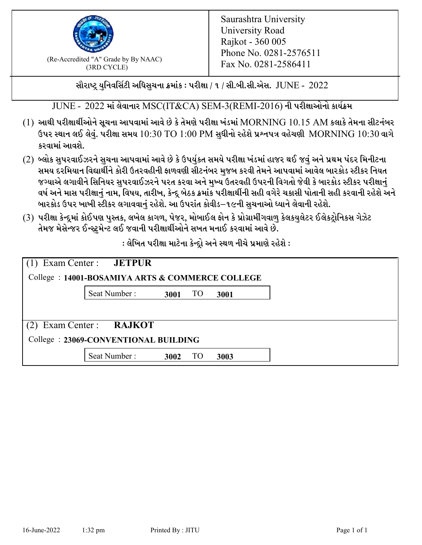

 $F_{\text{R}}$  (Re-Accredited "A" Grade by By NAAC)<br>(3PD CVCLE)<br> $F_{\text{R}}$  No. 0281-2586411 (3RD CYCLE)

સૌરાષ્ટ્ર યુનિવર્સિટી અધિસુચના ક્રમાંક : પરીક્ષા / ૧ / સી.બી.સી.એસ.  $\,$  JUNE -  $\,2022$ 

 $JUNE - 2022$  માં લેવાનાર  $MSC(IT\&CA)$  SEM-3(REMI-2016) ની પરીક્ષાઓનો કાર્યક્રમ

- $(1)$  આથી પરીક્ષાર્થીઓને સૂચના આપવામાં આવે છે કે તેમણે પરીક્ષા ખંડમાં  $\operatorname{MORNING}$   $10.15$   $\operatorname{AM}$  કલાકે તેમના સીટનંબર ઉપર સ્થાન લઈ લેવું. પરીક્ષા સમય  $10:30 \text{ TO } 1:00 \text{ PM}$  સુધીનો રહેશે પ્રશ્નપત્ર વહેચણી  $\text{MORNING } 10:30$  વાગે કરવામાં આવશે.
- (2) બ્લોક સુપરવાઈઝરને સુચના આપવામાં આવે છે કે ઉપર્યુકત સમયે પરીક્ષા ખંડમાં હાજર થઈ જવું અને પ્રથમ પંદર મિનીટના સમય દરમિયાન વિદ્યાર્થીને કોરી ઉતરવહીની ફાળવણી સીટનંબર મજબ કરવી તેમને આપવામાં આવેલ બારકોડ સ્ટીકર નિયત જગ્યાએ લગાવીને સિનિયર સુપરવાઈઝરને પરત કરવા અને મુખ્ય ઉતરવહી ઉપરની વિગતો જેવી કે બારકોડ સ્ટીકર પરીક્ષ<u>ાન</u>ં વર્ષ અને માસ પરીક્ષાનું નામ, વિષય, તારીખ, કેન્દ્ર બેઠક ક્રમાંક પરીક્ષાર્થીની સહી વગેરે ચકાસી પોતાની સહી કરવાની રહેશે અને બારકોડ ઉપર ખાખી સ્ટીકર લગાવવાનં રહેશે. આ ઉપરાંત કોવીડ–૧૯ની સચનાઓ ધ્યાને લેવાની રહેશે.
- (3) પરીક્ષા કેન્દ્રમાં કોઈપણ પુસ્તક, લખેલ કાગળ, પેજર, મોબાઈલ ફોન કે પ્રોગ્રામીંગવાળુ કેલકયુલેટર ઈલેકટ્રોનિકસ ગેઝેટ તેમજ મેસેન્જર ઈન્સ્ટમેન્ટ લઈ જવાની પરીક્ષાર્થીઓને સખત મનાઈ કરવામાં આવે છે.

 $:$ લેખિત પરીક્ષા માટેના કેન્દ્રો અને સ્થળ નીચે પ્રમાણે રહેશે  $:$ 

| Exam Center : <b>JETPUR</b><br>College: 14001-BOSAMIYA ARTS & COMMERCE COLLEGE |      |           |      |  |
|--------------------------------------------------------------------------------|------|-----------|------|--|
| Seat Number:                                                                   | 3001 | <b>TO</b> | 3001 |  |
| $(2)$ Exam Center : <b>RAJKOT</b>                                              |      |           |      |  |
| College: 23069-CONVENTIONAL BUILDING                                           |      |           |      |  |
| Seat Number:                                                                   | 3002 | <b>TO</b> | 3003 |  |